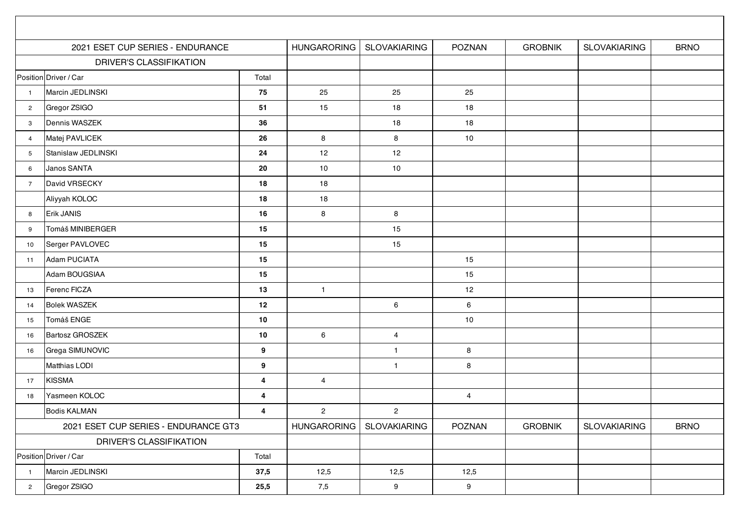|                                      | 2021 ESET CUP SERIES - ENDURANCE | <b>HUNGARORING</b>      | <b>SLOVAKIARING</b> | <b>POZNAN</b>       | <b>GROBNIK</b> | <b>SLOVAKIARING</b> | <b>BRNO</b>         |             |
|--------------------------------------|----------------------------------|-------------------------|---------------------|---------------------|----------------|---------------------|---------------------|-------------|
|                                      | <b>DRIVER'S CLASSIFIKATION</b>   |                         |                     |                     |                |                     |                     |             |
| Position Driver / Car<br>Total       |                                  |                         |                     |                     |                |                     |                     |             |
| $\blacksquare$                       | Marcin JEDLINSKI                 | 75                      | 25                  | 25                  | 25             |                     |                     |             |
| $\overline{2}$                       | Gregor ZSIGO                     | 51                      | 15                  | 18                  | 18             |                     |                     |             |
| $\mathbf{3}$                         | Dennis WASZEK                    | 36                      |                     | 18                  | 18             |                     |                     |             |
| $\overline{4}$                       | Matej PAVLICEK                   | 26                      | 8                   | 8                   | 10             |                     |                     |             |
| $5\phantom{.0}$                      | Stanislaw JEDLINSKI              | 24                      | 12                  | 12                  |                |                     |                     |             |
| 6                                    | Janos SANTA                      | 20                      | 10                  | $10$                |                |                     |                     |             |
| $\overline{7}$                       | David VRSECKY                    | 18                      | 18                  |                     |                |                     |                     |             |
|                                      | Aliyyah KOLOC                    | 18                      | 18                  |                     |                |                     |                     |             |
| 8                                    | Erik JANIS                       | 16                      | 8                   | 8                   |                |                     |                     |             |
| 9                                    | Tomáš MINIBERGER                 | 15                      |                     | 15                  |                |                     |                     |             |
| 10                                   | Serger PAVLOVEC                  | 15                      |                     | 15                  |                |                     |                     |             |
| 11                                   | Adam PUCIATA                     | 15                      |                     |                     | 15             |                     |                     |             |
|                                      | Adam BOUGSIAA                    | 15                      |                     |                     | 15             |                     |                     |             |
| 13                                   | Ferenc FICZA                     | 13                      | $\mathbf{1}$        |                     | 12             |                     |                     |             |
| 14                                   | <b>Bolek WASZEK</b>              | 12                      |                     | 6                   | 6              |                     |                     |             |
| 15                                   | Tomáš ENGE                       | 10                      |                     |                     | 10             |                     |                     |             |
| 16                                   | Bartosz GROSZEK                  | 10                      | 6                   | $\overline{4}$      |                |                     |                     |             |
| 16                                   | Grega SIMUNOVIC                  | $\boldsymbol{9}$        |                     | $\overline{1}$      | 8              |                     |                     |             |
|                                      | Matthias LODI                    | $\boldsymbol{9}$        |                     | $\overline{1}$      | 8              |                     |                     |             |
| 17                                   | <b>KISSMA</b>                    | 4                       | 4                   |                     |                |                     |                     |             |
| 18                                   | Yasmeen KOLOC                    | $\overline{\mathbf{4}}$ |                     |                     | $\overline{4}$ |                     |                     |             |
|                                      | <b>Bodis KALMAN</b>              | 4                       | $\overline{2}$      | $\overline{2}$      |                |                     |                     |             |
| 2021 ESET CUP SERIES - ENDURANCE GT3 |                                  |                         | <b>HUNGARORING</b>  | <b>SLOVAKIARING</b> | POZNAN         | <b>GROBNIK</b>      | <b>SLOVAKIARING</b> | <b>BRNO</b> |
|                                      | DRIVER'S CLASSIFIKATION          |                         |                     |                     |                |                     |                     |             |
|                                      | Position Driver / Car            | Total                   |                     |                     |                |                     |                     |             |
| $\overline{1}$                       | Marcin JEDLINSKI                 | 37,5                    | 12,5                | 12,5                | 12,5           |                     |                     |             |
| $\overline{2}$                       | Gregor ZSIGO                     | 25,5                    | 7,5                 | 9                   | 9              |                     |                     |             |